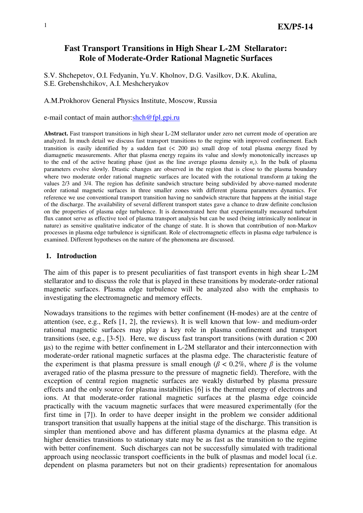# **Fast Transport Transitions in High Shear L-2M Stellarator: Role of Moderate-Order Rational Magnetic Surfaces**

S.V. Shchepetov, O.I. Fedyanin, Yu.V. Kholnov, D.G. Vasilkov, D.K. Akulina, S.E. Grebenshchikov, A.I. Meshcheryakov

A.M.Prokhorov General Physics Institute, Moscow, Russia

e-mail contact of main author:shch@fpl.gpi.ru

**Abstract.** Fast transport transitions in high shear L-2M stellarator under zero net current mode of operation are analyzed. In much detail we discuss fast transport transitions to the regime with improved confinement. Each transition is easily identified by a sudden fast (< 200 µs) small drop of total plasma energy fixed by diamagnetic measurements. After that plasma energy regains its value and slowly monotonically increases up to the end of the active heating phase (just as the line average plasma density  $n_e$ ). In the bulk of plasma parameters evolve slowly. Drastic changes are observed in the region that is close to the plasma boundary where two moderate order rational magnetic surfaces are located with the rotational transform  $\mu$  taking the values 2/3 and 3/4. The region has definite sandwich structure being subdivided by above-named moderate order rational magnetic surfaces in three smaller zones with different plasma parameters dynamics. For reference we use conventional transport transition having no sandwich structure that happens at the initial stage of the discharge. The availability of several different transport states gave a chance to draw definite conclusion on the properties of plasma edge turbulence. It is demonstrated here that experimentally measured turbulent flux cannot serve as effective tool of plasma transport analysis but can be used (being intrinsically nonlinear in nature) as sensitive qualitative indicator of the change of state. It is shown that contribution of non-Markov processes in plasma edge turbulence is significant. Role of electromagnetic effects in plasma edge turbulence is examined. Different hypotheses on the nature of the phenomena are discussed.

#### **1. Introduction**

The aim of this paper is to present peculiarities of fast transport events in high shear L-2M stellarator and to discuss the role that is played in these transitions by moderate-order rational magnetic surfaces. Plasma edge turbulence will be analyzed also with the emphasis to investigating the electromagnetic and memory effects.

Nowadays transitions to the regimes with better confinement (H-modes) are at the centre of attention (see, e.g., Refs [1, 2], the reviews). It is well known that low- and medium-order rational magnetic surfaces may play a key role in plasma confinement and transport transitions (see, e.g.,  $[3-5]$ ). Here, we discuss fast transport transitions (with duration  $< 200$ ) µs) to the regime with better confinement in L-2M stellarator and their interconnection with moderate-order rational magnetic surfaces at the plasma edge. The characteristic feature of the experiment is that plasma pressure is small enough ( $\beta$  < 0.2%, where  $\beta$  is the volume averaged ratio of the plasma pressure to the pressure of magnetic field). Therefore, with the exception of central region magnetic surfaces are weakly disturbed by plasma pressure effects and the only source for plasma instabilities [6] is the thermal energy of electrons and ions. At that moderate-order rational magnetic surfaces at the plasma edge coincide practically with the vacuum magnetic surfaces that were measured experimentally (for the first time in [7]). In order to have deeper insight in the problem we consider additional transport transition that usually happens at the initial stage of the discharge. This transition is simpler than mentioned above and has different plasma dynamics at the plasma edge. At higher densities transitions to stationary state may be as fast as the transition to the regime with better confinement. Such discharges can not be successfully simulated with traditional approach using neoclassic transport coefficients in the bulk of plasmas and model local (i.e. dependent on plasma parameters but not on their gradients) representation for anomalous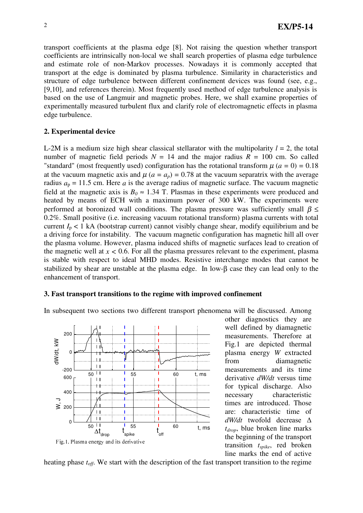transport coefficients at the plasma edge [8]. Not raising the question whether transport coefficients are intrinsically non-local we shall search properties of plasma edge turbulence and estimate role of non-Markov processes. Nowadays it is commonly accepted that transport at the edge is dominated by plasma turbulence. Similarity in characteristics and structure of edge turbulence between different confinement devices was found (see, e.g., [9,10], and references therein). Most frequently used method of edge turbulence analysis is based on the use of Langmuir and magnetic probes. Here, we shall examine properties of experimentally measured turbulent flux and clarify role of electromagnetic effects in plasma edge turbulence.

## **2. Experimental device**

L-2M is a medium size high shear classical stellarator with the multipolarity  $l = 2$ , the total number of magnetic field periods  $N = 14$  and the major radius  $R = 100$  cm. So called "standard" (most frequently used) configuration has the rotational transform  $\mu$  ( $a = 0$ ) = 0.18 at the vacuum magnetic axis and  $\mu$  ( $a = a_p$ ) = 0.78 at the vacuum separatrix with the average radius  $a_p = 11.5$  cm. Here *a* is the average radius of magnetic surface. The vacuum magnetic field at the magnetic axis is  $B_0 \approx 1.34$  T. Plasmas in these experiments were produced and heated by means of ECH with a maximum power of 300 kW. The experiments were performed at boronized wall conditions. The plasma pressure was sufficiently small  $\beta \leq$ 0.2%. Small positive (i.e. increasing vacuum rotational transform) plasma currents with total current  $I_p < 1$  kA (bootstrap current) cannot visibly change shear, modify equilibrium and be a driving force for instability. The vacuum magnetic configuration has magnetic hill all over the plasma volume. However, plasma induced shifts of magnetic surfaces lead to creation of the magnetic well at  $x < 0.6$ . For all the plasma pressures relevant to the experiment, plasma is stable with respect to ideal MHD modes. Resistive interchange modes that cannot be stabilized by shear are unstable at the plasma edge. In low-β case they can lead only to the enhancement of transport.

#### **3. Fast transport transitions to the regime with improved confinement**

In subsequent two sections two different transport phenomena will be discussed. Among



other diagnostics they are well defined by diamagnetic measurements. Therefore at Fig.1 are depicted thermal plasma energy *W* extracted from diamagnetic measurements and its time derivative *dW/dt* versus time for typical discharge. Also necessary characteristic times are introduced. Those are: characteristic time of  $dW/dt$  twofold decrease  $\Delta$ *tdrop*, blue broken line marks the beginning of the transport transition *tspike*, red broken line marks the end of active

heating phase *toff*. We start with the description of the fast transport transition to the regime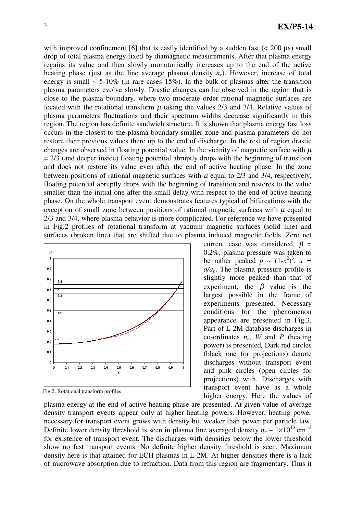with improved confinement [6] that is easily identified by a sudden fast  $(< 200 \text{ \mu s})$  small drop of total plasma energy fixed by diamagnetic measurements. After that plasma energy regains its value and then slowly monotonically increases up to the end of the active heating phase (just as the line average plasma density  $n_e$ ). However, increase of total energy is small  $\sim$  5-10% (in rare cases 15%). In the bulk of plasmas after the transition plasma parameters evolve slowly. Drastic changes can be observed in the region that is close to the plasma boundary, where two moderate order rational magnetic surfaces are located with the rotational transform  $\mu$  taking the values 2/3 and 3/4. Relative values of plasma parameters fluctuations and their spectrum widths decrease significantly in this region. The region has definite sandwich structure. It is shown that plasma energy fast loss occurs in the closest to the plasma boundary smaller zone and plasma parameters do not restore their previous values there up to the end of discharge. In the rest of region drastic changes are observed in floating potential value. In the vicinity of magnetic surface with  $\mu$  $= 2/3$  (and deeper inside) floating potential abruptly drops with the beginning of transition and does not restore its value even after the end of active heating phase. In the zone between positions of rational magnetic surfaces with  $\mu$  equal to 2/3 and 3/4, respectively, floating potential abruptly drops with the beginning of transition and restores to the value smaller than the initial one after the small delay with respect to the end of active heating phase. On the whole transport event demonstrates features typical of bifurcations with the exception of small zone between positions of rational magnetic surfaces with  $\mu$  equal to 2/3 and 3/4, where plasma behavior is more complicated. For reference we have presented in Fig.2 profiles of rotational transform at vacuum magnetic surfaces (solid line) and surfaces (broken line) that are shifted due to plasma induced magnetic fields. Zero net



Fig.2. Rotational transform profiles

plasma energy at the end of active heating phase are presented. At given value of average density transport events appear only at higher heating powers. However, heating power necessary for transport event grows with density but weaker than power per particle law. Definite lower density threshold is seen in plasma line averaged density  $n_e \sim 1 \times 10^{13}$  cm<sup>-3</sup> for existence of transport event. The discharges with densities below the lower threshold show no fast transport events. No definite higher density threshold is seen. Maximum density here is that attained for ECH plasmas in L-2M. At higher densities there is a lack of microwave absorption due to refraction. Data from this region are fragmentary. Thus it

current case was considered,  $\beta$  = 0.2%, plasma pressure was taken to be rather peaked  $p \sim (1-x^2)^3$ ,  $x =$ *a/ap*. The plasma pressure profile is slightly more peaked than that of experiment, the  $\beta$  value is the largest possible in the frame of experiments presented. Necessary conditions for the phenomenon appearance are presented in Fig.3. Part of L-2M database discharges in co-ordinates *ne*, *W* and *P* (heating power) is presented*.* Dark red circles (black one for projections) denote discharges without transport event and pink circles (open circles for projections) with. Discharges with transport event have as a whole higher energy. Here the values of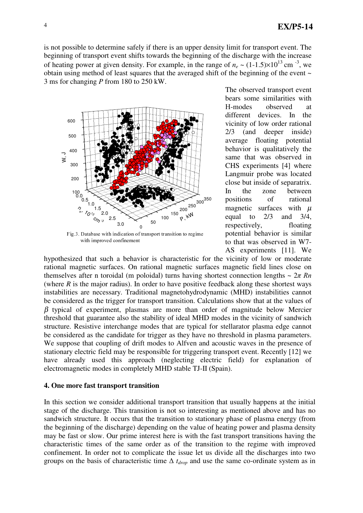is not possible to determine safely if there is an upper density limit for transport event. The beginning of transport event shifts towards the beginning of the discharge with the increase of heating power at given density. For example, in the range of  $n_e \sim (1\t{-}1.5)\times 10^{13}$  cm<sup>-3</sup>, we obtain using method of least squares that the averaged shift of the beginning of the event ~ 3 ms for changing *P* from 180 to 250 kW.



with improved confinement

The observed transport event bears some similarities with H-modes observed at different devices. In the vicinity of low order rational 2/3 (and deeper inside) average floating potential behavior is qualitatively the same that was observed in CHS experiments [4] where Langmuir probe was located close but inside of separatrix. In the zone between positions of rational magnetic surfaces with  $\mu$ equal to  $2/3$  and  $3/4$ , respectively, floating potential behavior is similar to that was observed in W7- AS experiments [11]. We

hypothesized that such a behavior is characteristic for the vicinity of low or moderate rational magnetic surfaces. On rational magnetic surfaces magnetic field lines close on themselves after n toroidal (m poloidal) turns having shortest connection lengths  $\sim 2\pi Rn$ (where  $R$  is the major radius). In order to have positive feedback along these shortest ways instabilities are necessary. Traditional magnetohydrodynamic (MHD) instabilities cannot be considered as the trigger for transport transition. Calculations show that at the values of  $β$  typical of experiment, plasmas are more than order of magnitude below Mercier threshold that guarantee also the stability of ideal MHD modes in the vicinity of sandwich structure. Resistive interchange modes that are typical for stellarator plasma edge cannot be considered as the candidate for trigger as they have no threshold in plasma parameters. We suppose that coupling of drift modes to Alfven and acoustic waves in the presence of stationary electric field may be responsible for triggering transport event. Recently [12] we have already used this approach (neglecting electric field) for explanation of electromagnetic modes in completely MHD stable TJ-II (Spain).

### **4. One more fast transport transition**

In this section we consider additional transport transition that usually happens at the initial stage of the discharge. This transition is not so interesting as mentioned above and has no sandwich structure. It occurs that the transition to stationary phase of plasma energy (from the beginning of the discharge) depending on the value of heating power and plasma density may be fast or slow. Our prime interest here is with the fast transport transitions having the characteristic times of the same order as of the transition to the regime with improved confinement. In order not to complicate the issue let us divide all the discharges into two groups on the basis of characteristic time  $\Delta t_{drop}$  and use the same co-ordinate system as in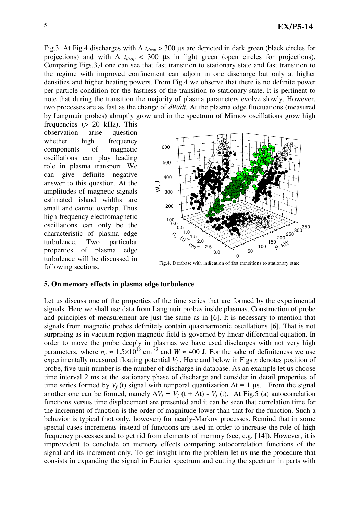Fig.3. At Fig.4 discharges with  $\Delta t_{drop} > 300$  µs are depicted in dark green (black circles for projections) and with  $\Delta t_{drop} < 300$  µs in light green (open circles for projections). Comparing Figs.3,4 one can see that fast transition to stationary state and fast transition to the regime with improved confinement can adjoin in one discharge but only at higher densities and higher heating powers. From Fig.4 we observe that there is no definite power per particle condition for the fastness of the transition to stationary state. It is pertinent to note that during the transition the majority of plasma parameters evolve slowly. However, two processes are as fast as the change of *dW/dt.* At the plasma edge fluctuations (measured by Langmuir probes) abruptly grow and in the spectrum of Mirnov oscillations grow high

frequencies (> 20 kHz). This observation arise question whether high frequency components of magnetic oscillations can play leading role in plasma transport. We can give definite negative answer to this question. At the amplitudes of magnetic signals estimated island widths are small and cannot overlap. Thus high frequency electromagnetic oscillations can only be the characteristic of plasma edge turbulence. Two particular properties of plasma edge turbulence will be discussed in following sections.



Fig. 4. Database with indication of fast transitions to stationary state

#### **5. On memory effects in plasma edge turbulence**

Let us discuss one of the properties of the time series that are formed by the experimental signals. Here we shall use data from Langmuir probes inside plasmas. Construction of probe and principles of measurement are just the same as in [6]. It is necessary to mention that signals from magnetic probes definitely contain quasiharmonic oscillations [6]. That is not surprising as in vacuum region magnetic field is governed by linear differential equation. In order to move the probe deeply in plasmas we have used discharges with not very high parameters, where  $n_e \approx 1.5 \times 10^{13}$  cm<sup>-3</sup> and  $W \approx 400$  J. For the sake of definiteness we use experimentally measured floating potential *V<sup>f</sup>* . Here and below in Figs *x* denotes position of probe, five-unit number is the number of discharge in database. As an example let us choose time interval 2 ms at the stationary phase of discharge and consider in detail properties of time series formed by  $V_f(t)$  signal with temporal quantization  $\Delta t = 1$  µs. From the signal another one can be formed, namely  $\Delta V_f = V_f(t + \Delta t) - V_f(t)$ . At Fig.5 (a) autocorrelation functions versus time displacement are presented and it can be seen that correlation time for the increment of function is the order of magnitude lower than that for the function. Such a behavior is typical (not only, however) for nearly-Markov processes. Remind that in some special cases increments instead of functions are used in order to increase the role of high frequency processes and to get rid from elements of memory (see, e.g. [14]). However, it is improvident to conclude on memory effects comparing autocorrelation functions of the signal and its increment only. To get insight into the problem let us use the procedure that consists in expanding the signal in Fourier spectrum and cutting the spectrum in parts with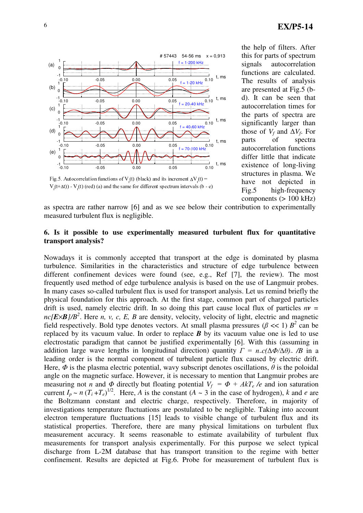

this for parts of spectrum signals autocorrelation functions are calculated. The results of analysis are presented at Fig.5 (bd). It can be seen that autocorrelation times for the parts of spectra are significantly larger than those of  $V_f$  and  $\Delta V_f$ . For parts of spectra autocorrelation functions differ little that indicate existence of long-living structures in plasma. We have not depicted in Fig.5 high-frequency  $components (> 100 kHz)$ 

the help of filters. After

Fig.5. Autocorrelation functions of  $V_f(t)$  (black) and its increment  $\Delta V_f(t) =$  $V_f(t+\Delta t)$ ) -  $V_f(t)$  (red) (a) and the same for different spectrum intervals (b - e)

as spectra are rather narrow [6] and as we see below their contribution to experimentally measured turbulent flux is negligible.

## **6. Is it possible to use experimentally measured turbulent flux for quantitative transport analysis?**

Nowadays it is commonly accepted that transport at the edge is dominated by plasma turbulence. Similarities in the characteristics and structure of edge turbulence between different confinement devices were found (see, e.g., Ref [7], the review). The most frequently used method of edge turbulence analysis is based on the use of Langmuir probes. In many cases so-called turbulent flux is used for transport analysis. Let us remind briefly the physical foundation for this approach. At the first stage, common part of charged particles drift is used, namely electric drift. In so doing this part cause local flux of particles  $nv =$ *nc[E*×*B]/B 2* . Here *n, v, c, E, B* are density, velocity, velocity of light, electric and magnetic field respectively. Bold type denotes vectors. At small plasma pressures ( $\beta \ll 1$ )  $B^2$  can be replaced by its vacuum value. In order to replace *B* by its vacuum value one is led to use electrostatic paradigm that cannot be justified experimentally [6]. With this (assuming in addition large wave lengths in longitudinal direction) quantity  $\Gamma = n_c c(\Delta \Phi / \Delta \theta)$ , */B* in a leading order is the normal component of turbulent particle flux caused by electric drift. Here,  $\Phi$  is the plasma electric potential, wavy subscript denotes oscillations,  $\theta$  is the poloidal angle on the magnetic surface. However, it is necessary to mention that Langmuir probes are measuring not *n* and  $\Phi$  directly but floating potential  $V_f = \Phi + AkT_e/e$  and ion saturation current  $I_p \sim n (T_i + T_e)^{1/2}$ . Here, *A* is the constant (*A* ~ 3 in the case of hydrogen), *k* and *e* are the Boltzmann constant and electric charge, respectively. Therefore, in majority of investigations temperature fluctuations are postulated to be negligible. Taking into account electron temperature fluctuations [15] leads to visible change of turbulent flux and its statistical properties. Therefore, there are many physical limitations on turbulent flux measurement accuracy. It seems reasonable to estimate availability of turbulent flux measurements for transport analysis experimentally. For this purpose we select typical discharge from L-2M database that has transport transition to the regime with better confinement. Results are depicted at Fig.6. Probe for measurement of turbulent flux is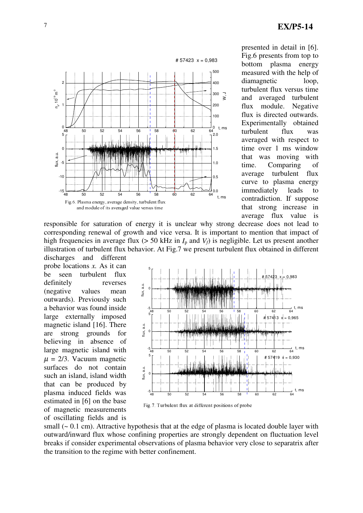

presented in detail in [6]. Fig.6 presents from top to bottom plasma energy measured with the help of diamagnetic loop, turbulent flux versus time and averaged turbulent flux module. Negative flux is directed outwards. Experimentally obtained turbulent flux was averaged with respect to time over 1 ms window that was moving with time. Comparing of average turbulent flux curve to plasma energy immediately leads to contradiction. If suppose that strong increase in average flux value is

responsible for saturation of energy it is unclear why strong decrease does not lead to corresponding renewal of growth and vice versa. It is important to mention that impact of high frequencies in average flux ( $> 50$  kHz in  $I<sub>p</sub>$  and  $V<sub>f</sub>$ ) is negligible. Let us present another illustration of turbulent flux behavior. At Fig.7 we present turbulent flux obtained in different

discharges and different probe locations *x.* As it can be seen turbulent flux definitely reverses (negative values mean outwards). Previously such a behavior was found inside large externally imposed magnetic island [16]. There are strong grounds for believing in absence of large magnetic island with  $\mu = 2/3$ . Vacuum magnetic surfaces do not contain such an island, island width that can be produced by plasma induced fields was estimated in [6] on the base of magnetic measurements of oscillating fields and is



small  $(-0.1 \text{ cm})$ . Attractive hypothesis that at the edge of plasma is located double layer with outward/inward flux whose confining properties are strongly dependent on fluctuation level breaks if consider experimental observations of plasma behavior very close to separatrix after the transition to the regime with better confinement.